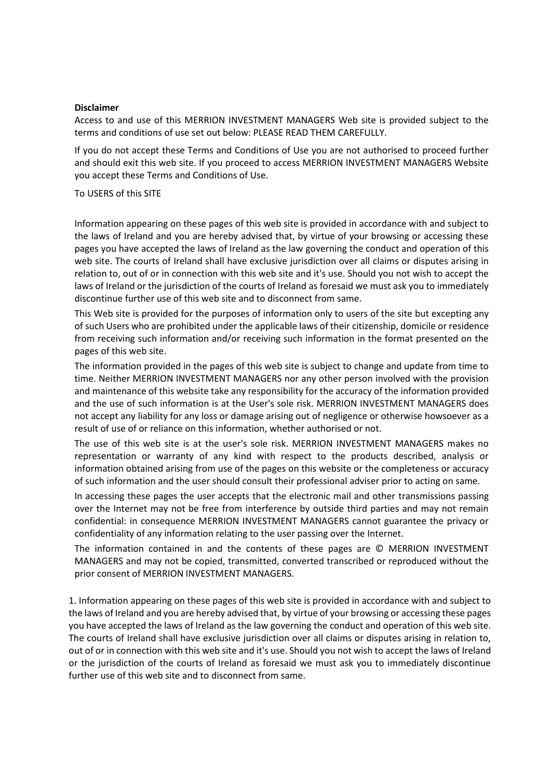## **Disclaimer**

Access to and use of this MERRION INVESTMENT MANAGERS Web site is provided subject to the terms and conditions of use set out below: PLEASE READ THEM CAREFULLY.

If you do not accept these Terms and Conditions of Use you are not authorised to proceed further and should exit this web site. If you proceed to access MERRION INVESTMENT MANAGERS Website you accept these Terms and Conditions of Use.

## To USERS of this SITE

Information appearing on these pages of this web site is provided in accordance with and subject to the laws of Ireland and you are hereby advised that, by virtue of your browsing or accessing these pages you have accepted the laws of Ireland as the law governing the conduct and operation of this web site. The courts of Ireland shall have exclusive jurisdiction over all claims or disputes arising in relation to, out of or in connection with this web site and it's use. Should you not wish to accept the laws of Ireland or the jurisdiction of the courts of Ireland as foresaid we must ask you to immediately discontinue further use of this web site and to disconnect from same.

This Web site is provided for the purposes of information only to users of the site but excepting any of such Users who are prohibited under the applicable laws of their citizenship, domicile or residence from receiving such information and/or receiving such information in the format presented on the pages of this web site.

The information provided in the pages of this web site is subject to change and update from time to time. Neither MERRION INVESTMENT MANAGERS nor any other person involved with the provision and maintenance of this website take any responsibility for the accuracy of the information provided and the use of such information is at the User's sole risk. MERRION INVESTMENT MANAGERS does not accept any liability for any loss or damage arising out of negligence or otherwise howsoever as a result of use of or reliance on this information, whether authorised or not.

The use of this web site is at the user's sole risk. MERRION INVESTMENT MANAGERS makes no representation or warranty of any kind with respect to the products described, analysis or information obtained arising from use of the pages on this website or the completeness or accuracy of such information and the user should consult their professional adviser prior to acting on same.

In accessing these pages the user accepts that the electronic mail and other transmissions passing over the Internet may not be free from interference by outside third parties and may not remain confidential: in consequence MERRION INVESTMENT MANAGERS cannot guarantee the privacy or confidentiality of any information relating to the user passing over the Internet.

The information contained in and the contents of these pages are © MERRION INVESTMENT MANAGERS and may not be copied, transmitted, converted transcribed or reproduced without the prior consent of MERRION INVESTMENT MANAGERS.

1. Information appearing on these pages of this web site is provided in accordance with and subject to the laws of Ireland and you are hereby advised that, by virtue of your browsing or accessing these pages you have accepted the laws of Ireland as the law governing the conduct and operation of this web site. The courts of Ireland shall have exclusive jurisdiction over all claims or disputes arising in relation to, out of or in connection with this web site and it's use. Should you not wish to accept the laws of Ireland or the jurisdiction of the courts of Ireland as foresaid we must ask you to immediately discontinue further use of this web site and to disconnect from same.